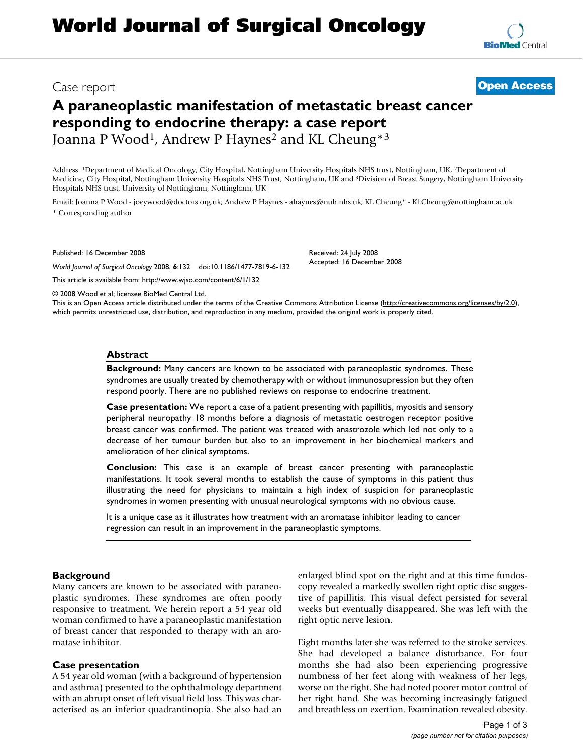## Case report **[Open Access](http://www.biomedcentral.com/info/about/charter/)**

# **A paraneoplastic manifestation of metastatic breast cancer responding to endocrine therapy: a case report** Joanna P Wood<sup>1</sup>, Andrew P Haynes<sup>2</sup> and KL Cheung<sup>\*3</sup>

Address: 1Department of Medical Oncology, City Hospital, Nottingham University Hospitals NHS trust, Nottingham, UK, 2Department of Medicine, City Hospital, Nottingham University Hospitals NHS Trust, Nottingham, UK and 3Division of Breast Surgery, Nottingham University Hospitals NHS trust, University of Nottingham, Nottingham, UK

Email: Joanna P Wood - joeywood@doctors.org.uk; Andrew P Haynes - ahaynes@nuh.nhs.uk; KL Cheung\* - Kl.Cheung@nottingham.ac.uk \* Corresponding author

Published: 16 December 2008

*World Journal of Surgical Oncology* 2008, **6**:132 doi:10.1186/1477-7819-6-132

[This article is available from: http://www.wjso.com/content/6/1/132](http://www.wjso.com/content/6/1/132)

© 2008 Wood et al; licensee BioMed Central Ltd.

This is an Open Access article distributed under the terms of the Creative Commons Attribution License [\(http://creativecommons.org/licenses/by/2.0\)](http://creativecommons.org/licenses/by/2.0), which permits unrestricted use, distribution, and reproduction in any medium, provided the original work is properly cited.

Received: 24 July 2008 Accepted: 16 December 2008

#### **Abstract**

**Background:** Many cancers are known to be associated with paraneoplastic syndromes. These syndromes are usually treated by chemotherapy with or without immunosupression but they often respond poorly. There are no published reviews on response to endocrine treatment.

**Case presentation:** We report a case of a patient presenting with papillitis, myositis and sensory peripheral neuropathy 18 months before a diagnosis of metastatic oestrogen receptor positive breast cancer was confirmed. The patient was treated with anastrozole which led not only to a decrease of her tumour burden but also to an improvement in her biochemical markers and amelioration of her clinical symptoms.

**Conclusion:** This case is an example of breast cancer presenting with paraneoplastic manifestations. It took several months to establish the cause of symptoms in this patient thus illustrating the need for physicians to maintain a high index of suspicion for paraneoplastic syndromes in women presenting with unusual neurological symptoms with no obvious cause.

It is a unique case as it illustrates how treatment with an aromatase inhibitor leading to cancer regression can result in an improvement in the paraneoplastic symptoms.

#### **Background**

Many cancers are known to be associated with paraneoplastic syndromes. These syndromes are often poorly responsive to treatment. We herein report a 54 year old woman confirmed to have a paraneoplastic manifestation of breast cancer that responded to therapy with an aromatase inhibitor.

#### **Case presentation**

A 54 year old woman (with a background of hypertension and asthma) presented to the ophthalmology department with an abrupt onset of left visual field loss. This was characterised as an inferior quadrantinopia. She also had an enlarged blind spot on the right and at this time fundoscopy revealed a markedly swollen right optic disc suggestive of papillitis. This visual defect persisted for several weeks but eventually disappeared. She was left with the right optic nerve lesion.

Eight months later she was referred to the stroke services. She had developed a balance disturbance. For four months she had also been experiencing progressive numbness of her feet along with weakness of her legs, worse on the right. She had noted poorer motor control of her right hand. She was becoming increasingly fatigued and breathless on exertion. Examination revealed obesity.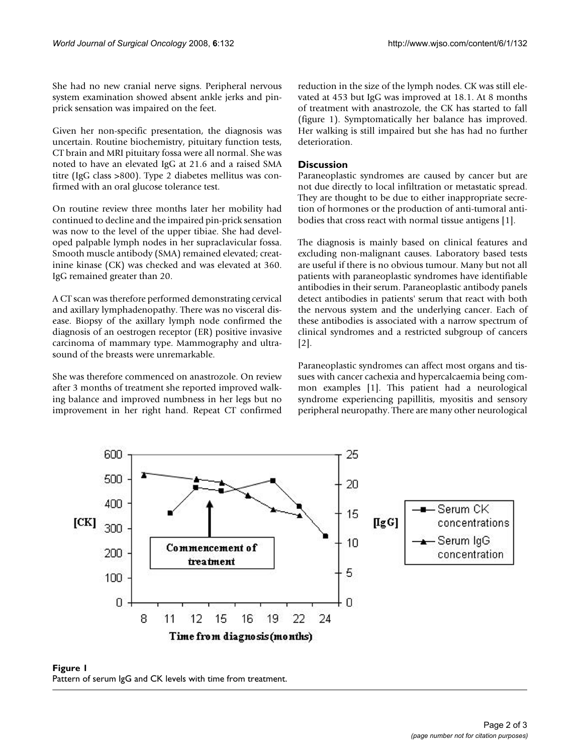She had no new cranial nerve signs. Peripheral nervous system examination showed absent ankle jerks and pinprick sensation was impaired on the feet.

Given her non-specific presentation, the diagnosis was uncertain. Routine biochemistry, pituitary function tests, CT brain and MRI pituitary fossa were all normal. She was noted to have an elevated IgG at 21.6 and a raised SMA titre (IgG class >800). Type 2 diabetes mellitus was confirmed with an oral glucose tolerance test.

On routine review three months later her mobility had continued to decline and the impaired pin-prick sensation was now to the level of the upper tibiae. She had developed palpable lymph nodes in her supraclavicular fossa. Smooth muscle antibody (SMA) remained elevated; creatinine kinase (CK) was checked and was elevated at 360. IgG remained greater than 20.

A CT scan was therefore performed demonstrating cervical and axillary lymphadenopathy. There was no visceral disease. Biopsy of the axillary lymph node confirmed the diagnosis of an oestrogen receptor (ER) positive invasive carcinoma of mammary type. Mammography and ultrasound of the breasts were unremarkable.

She was therefore commenced on anastrozole. On review after 3 months of treatment she reported improved walking balance and improved numbness in her legs but no improvement in her right hand. Repeat CT confirmed reduction in the size of the lymph nodes. CK was still elevated at 453 but IgG was improved at 18.1. At 8 months of treatment with anastrozole, the CK has started to fall (figure 1). Symptomatically her balance has improved. Her walking is still impaired but she has had no further deterioration.

#### **Discussion**

Paraneoplastic syndromes are caused by cancer but are not due directly to local infiltration or metastatic spread. They are thought to be due to either inappropriate secretion of hormones or the production of anti-tumoral antibodies that cross react with normal tissue antigens [1].

The diagnosis is mainly based on clinical features and excluding non-malignant causes. Laboratory based tests are useful if there is no obvious tumour. Many but not all patients with paraneoplastic syndromes have identifiable antibodies in their serum. Paraneoplastic antibody panels detect antibodies in patients' serum that react with both the nervous system and the underlying cancer. Each of these antibodies is associated with a narrow spectrum of clinical syndromes and a restricted subgroup of cancers [2].

Paraneoplastic syndromes can affect most organs and tissues with cancer cachexia and hypercalcaemia being common examples [1]. This patient had a neurological syndrome experiencing papillitis, myositis and sensory peripheral neuropathy. There are many other neurological